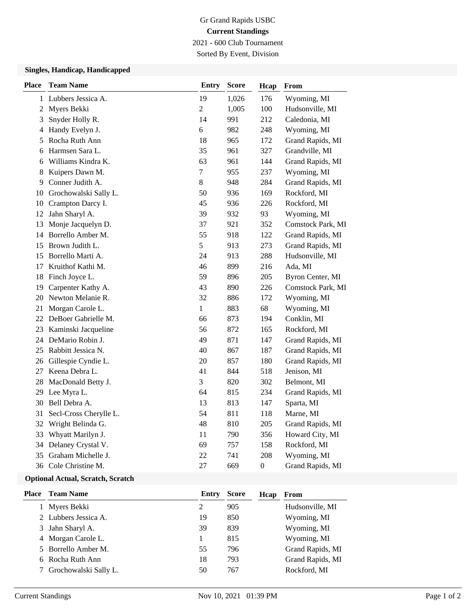## Gr Grand Rapids USBC **Current Standings** 2021 - 600 Club Tournament

Sorted By Event, Division

### **Singles, Handicap, Handicapped**

| <b>Place</b>   | <b>Team Name</b>       | <b>Entry</b>   | <b>Score</b> | Hcap             | From              |
|----------------|------------------------|----------------|--------------|------------------|-------------------|
|                | 1 Lubbers Jessica A.   | 19             | 1,026        | 176              | Wyoming, MI       |
| $\overline{2}$ | Myers Bekki            | $\overline{2}$ | 1,005        | 100              | Hudsonville, MI   |
| 3              | Snyder Holly R.        | 14             | 991          | 212              | Caledonia, MI     |
| 4              | Handy Evelyn J.        | 6              | 982          | 248              | Wyoming, MI       |
| 5              | Rocha Ruth Ann         | 18             | 965          | 172              | Grand Rapids, MI  |
| 6              | Harmsen Sara L.        | 35             | 961          | 327              | Grandville, MI    |
| 6              | Williams Kindra K.     | 63             | 961          | 144              | Grand Rapids, MI  |
| 8              | Kuipers Dawn M.        | $\overline{7}$ | 955          | 237              | Wyoming, MI       |
| 9              | Conner Judith A.       | 8              | 948          | 284              | Grand Rapids, MI  |
| 10             | Grochowalski Sally L.  | 50             | 936          | 169              | Rockford, MI      |
| 10             | Crampton Darcy I.      | 45             | 936          | 226              | Rockford, MI      |
| 12             | Jahn Sharyl A.         | 39             | 932          | 93               | Wyoming, MI       |
| 13             | Monje Jacquelyn D.     | 37             | 921          | 352              | Comstock Park, MI |
|                | 14 Borrello Amber M.   | 55             | 918          | 122              | Grand Rapids, MI  |
|                | 15 Brown Judith L.     | 5              | 913          | 273              | Grand Rapids, MI  |
| 15             | Borrello Marti A.      | 24             | 913          | 288              | Hudsonville, MI   |
| 17             | Kruithof Kathi M.      | 46             | 899          | 216              | Ada, MI           |
| 18             | Finch Joyce L.         | 59             | 896          | 205              | Byron Center, MI  |
| 19             | Carpenter Kathy A.     | 43             | 890          | 226              | Comstock Park, MI |
| 20             | Newton Melanie R.      | 32             | 886          | 172              | Wyoming, MI       |
| 21             | Morgan Carole L.       | $\mathbf{1}$   | 883          | 68               | Wyoming, MI       |
| 22             | DeBoer Gabrielle M.    | 66             | 873          | 194              | Conklin, MI       |
| 23             | Kaminski Jacqueline    | 56             | 872          | 165              | Rockford, MI      |
| 24             | DeMario Robin J.       | 49             | 871          | 147              | Grand Rapids, MI  |
| 25             | Rabbitt Jessica N.     | 40             | 867          | 187              | Grand Rapids, MI  |
|                | 26 Gillespie Cyndie L. | 20             | 857          | 180              | Grand Rapids, MI  |
| 27             | Keena Debra L.         | 41             | 844          | 518              | Jenison, MI       |
| 28             | MacDonald Betty J.     | 3              | 820          | 302              | Belmont, MI       |
|                | 29 Lee Myra L.         | 64             | 815          | 234              | Grand Rapids, MI  |
| 30             | Bell Debra A.          | 13             | 813          | 147              | Sparta, MI        |
| 31             | Secl-Cross Cherylle L. | 54             | 811          | 118              | Marne, MI         |
| 32             | Wright Belinda G.      | 48             | 810          | 205              | Grand Rapids, MI  |
| 33             | Whyatt Marilyn J.      | 11             | 790          | 356              | Howard City, MI   |
| 34             | Delaney Crystal V.     | 69             | 757          | 158              | Rockford, MI      |
| 35             | Graham Michelle J.     | 22             | 741          | 208              | Wyoming, MI       |
| 36             | Cole Christine M.      | 27             | 669          | $\boldsymbol{0}$ | Grand Rapids, MI  |

#### **Optional Actual, Scratch, Scratch**

| Place | <b>Team Name</b>        | Entry | <b>Score</b> | Hcap | From             |
|-------|-------------------------|-------|--------------|------|------------------|
|       | Myers Bekki             | 2     | 905          |      | Hudsonville, MI  |
|       | 2 Lubbers Jessica A.    | 19    | 850          |      | Wyoming, MI      |
|       | 3 Jahn Sharyl A.        | 39    | 839          |      | Wyoming, MI      |
|       | 4 Morgan Carole L.      |       | 815          |      | Wyoming, MI      |
|       | 5 Borrello Amber M.     | 55    | 796          |      | Grand Rapids, MI |
|       | 6 Rocha Ruth Ann        | 18    | 793          |      | Grand Rapids, MI |
|       | 7 Grochowalski Sally L. | 50    | 767          |      | Rockford, MI     |
|       |                         |       |              |      |                  |